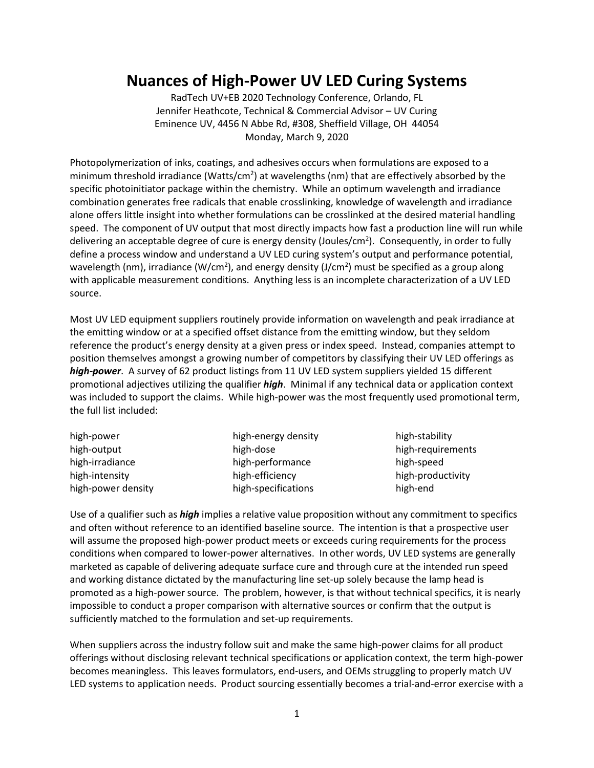# **Nuances of High-Power UV LED Curing Systems**

RadTech UV+EB 2020 Technology Conference, Orlando, FL Jennifer Heathcote, Technical & Commercial Advisor – UV Curing Eminence UV, 4456 N Abbe Rd, #308, Sheffield Village, OH 44054 Monday, March 9, 2020

Photopolymerization of inks, coatings, and adhesives occurs when formulations are exposed to a minimum threshold irradiance (Watts/cm<sup>2</sup>) at wavelengths (nm) that are effectively absorbed by the specific photoinitiator package within the chemistry. While an optimum wavelength and irradiance combination generates free radicals that enable crosslinking, knowledge of wavelength and irradiance alone offers little insight into whether formulations can be crosslinked at the desired material handling speed. The component of UV output that most directly impacts how fast a production line will run while delivering an acceptable degree of cure is energy density (Joules/cm<sup>2</sup>). Consequently, in order to fully define a process window and understand a UV LED curing system's output and performance potential, wavelength (nm), irradiance (W/cm<sup>2</sup>), and energy density (J/cm<sup>2</sup>) must be specified as a group along with applicable measurement conditions. Anything less is an incomplete characterization of a UV LED source.

Most UV LED equipment suppliers routinely provide information on wavelength and peak irradiance at the emitting window or at a specified offset distance from the emitting window, but they seldom reference the product's energy density at a given press or index speed. Instead, companies attempt to position themselves amongst a growing number of competitors by classifying their UV LED offerings as *high-power*. A survey of 62 product listings from 11 UV LED system suppliers yielded 15 different promotional adjectives utilizing the qualifier *high*. Minimal if any technical data or application context was included to support the claims. While high-power was the most frequently used promotional term, the full list included:

| high-power         | high-energy density |
|--------------------|---------------------|
| high-output        | high-dose           |
| high-irradiance    | high-performance    |
| high-intensity     | high-efficiency     |
| high-power density | high-specifications |

high-stability high-requirements high-speed high-productivity high-end

Use of a qualifier such as *high* implies a relative value proposition without any commitment to specifics and often without reference to an identified baseline source. The intention is that a prospective user will assume the proposed high-power product meets or exceeds curing requirements for the process conditions when compared to lower-power alternatives. In other words, UV LED systems are generally marketed as capable of delivering adequate surface cure and through cure at the intended run speed and working distance dictated by the manufacturing line set-up solely because the lamp head is promoted as a high-power source. The problem, however, is that without technical specifics, it is nearly impossible to conduct a proper comparison with alternative sources or confirm that the output is sufficiently matched to the formulation and set-up requirements.

When suppliers across the industry follow suit and make the same high-power claims for all product offerings without disclosing relevant technical specifications or application context, the term high-power becomes meaningless. This leaves formulators, end-users, and OEMs struggling to properly match UV LED systems to application needs. Product sourcing essentially becomes a trial-and-error exercise with a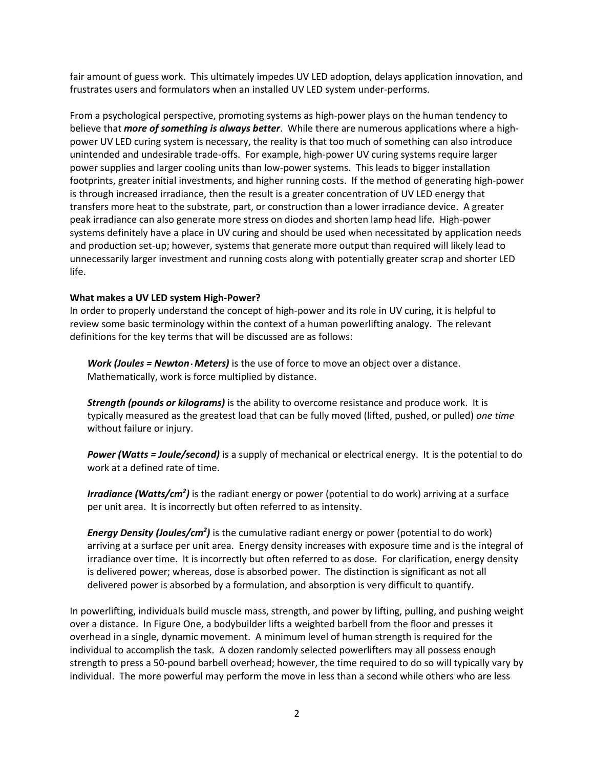fair amount of guess work. This ultimately impedes UV LED adoption, delays application innovation, and frustrates users and formulators when an installed UV LED system under-performs.

From a psychological perspective, promoting systems as high-power plays on the human tendency to believe that *more of something is always better*. While there are numerous applications where a highpower UV LED curing system is necessary, the reality is that too much of something can also introduce unintended and undesirable trade-offs. For example, high-power UV curing systems require larger power supplies and larger cooling units than low-power systems. This leads to bigger installation footprints, greater initial investments, and higher running costs. If the method of generating high-power is through increased irradiance, then the result is a greater concentration of UV LED energy that transfers more heat to the substrate, part, or construction than a lower irradiance device. A greater peak irradiance can also generate more stress on diodes and shorten lamp head life. High-power systems definitely have a place in UV curing and should be used when necessitated by application needs and production set-up; however, systems that generate more output than required will likely lead to unnecessarily larger investment and running costs along with potentially greater scrap and shorter LED life.

#### **What makes a UV LED system High-Power?**

In order to properly understand the concept of high-power and its role in UV curing, it is helpful to review some basic terminology within the context of a human powerlifting analogy. The relevant definitions for the key terms that will be discussed are as follows:

*Work (Joules = Newton Meters)* is the use of force to move an object over a distance. Mathematically, work is force multiplied by distance.

*Strength (pounds or kilograms)* is the ability to overcome resistance and produce work. It is typically measured as the greatest load that can be fully moved (lifted, pushed, or pulled) *one time* without failure or injury.

*Power (Watts = Joule/second)* is a supply of mechanical or electrical energy. It is the potential to do work at a defined rate of time.

Irradiance (Watts/cm<sup>2</sup>) is the radiant energy or power (potential to do work) arriving at a surface per unit area. It is incorrectly but often referred to as intensity.

*Energy Density (Joules/cm<sup>2</sup> )* is the cumulative radiant energy or power (potential to do work) arriving at a surface per unit area. Energy density increases with exposure time and is the integral of irradiance over time. It is incorrectly but often referred to as dose. For clarification, energy density is delivered power; whereas, dose is absorbed power. The distinction is significant as not all delivered power is absorbed by a formulation, and absorption is very difficult to quantify.

In powerlifting, individuals build muscle mass, strength, and power by lifting, pulling, and pushing weight over a distance. In Figure One, a bodybuilder lifts a weighted barbell from the floor and presses it overhead in a single, dynamic movement. A minimum level of human strength is required for the individual to accomplish the task. A dozen randomly selected powerlifters may all possess enough strength to press a 50-pound barbell overhead; however, the time required to do so will typically vary by individual. The more powerful may perform the move in less than a second while others who are less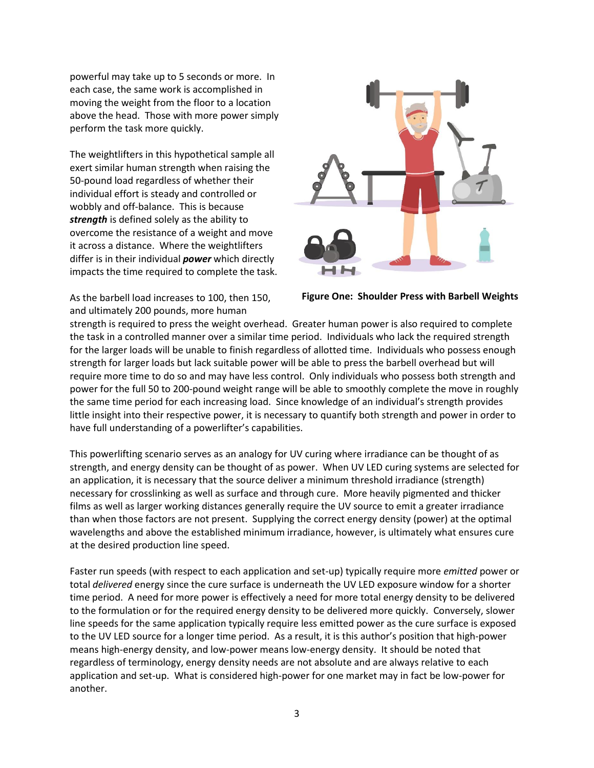powerful may take up to 5 seconds or more. In each case, the same work is accomplished in moving the weight from the floor to a location above the head. Those with more power simply perform the task more quickly.

The weightlifters in this hypothetical sample all exert similar human strength when raising the 50-pound load regardless of whether their individual effort is steady and controlled or wobbly and off-balance. This is because *strength* is defined solely as the ability to overcome the resistance of a weight and move it across a distance. Where the weightlifters differ is in their individual *power* which directly impacts the time required to complete the task.

As the barbell load increases to 100, then 150, and ultimately 200 pounds, more human



**Figure One: Shoulder Press with Barbell Weights**

strength is required to press the weight overhead. Greater human power is also required to complete the task in a controlled manner over a similar time period. Individuals who lack the required strength for the larger loads will be unable to finish regardless of allotted time. Individuals who possess enough strength for larger loads but lack suitable power will be able to press the barbell overhead but will require more time to do so and may have less control. Only individuals who possess both strength and power for the full 50 to 200-pound weight range will be able to smoothly complete the move in roughly the same time period for each increasing load. Since knowledge of an individual's strength provides little insight into their respective power, it is necessary to quantify both strength and power in order to have full understanding of a powerlifter's capabilities.

This powerlifting scenario serves as an analogy for UV curing where irradiance can be thought of as strength, and energy density can be thought of as power. When UV LED curing systems are selected for an application, it is necessary that the source deliver a minimum threshold irradiance (strength) necessary for crosslinking as well as surface and through cure. More heavily pigmented and thicker films as well as larger working distances generally require the UV source to emit a greater irradiance than when those factors are not present. Supplying the correct energy density (power) at the optimal wavelengths and above the established minimum irradiance, however, is ultimately what ensures cure at the desired production line speed.

Faster run speeds (with respect to each application and set-up) typically require more *emitted* power or total *delivered* energy since the cure surface is underneath the UV LED exposure window for a shorter time period. A need for more power is effectively a need for more total energy density to be delivered to the formulation or for the required energy density to be delivered more quickly. Conversely, slower line speeds for the same application typically require less emitted power as the cure surface is exposed to the UV LED source for a longer time period. As a result, it is this author's position that high-power means high-energy density, and low-power means low-energy density. It should be noted that regardless of terminology, energy density needs are not absolute and are always relative to each application and set-up. What is considered high-power for one market may in fact be low-power for another.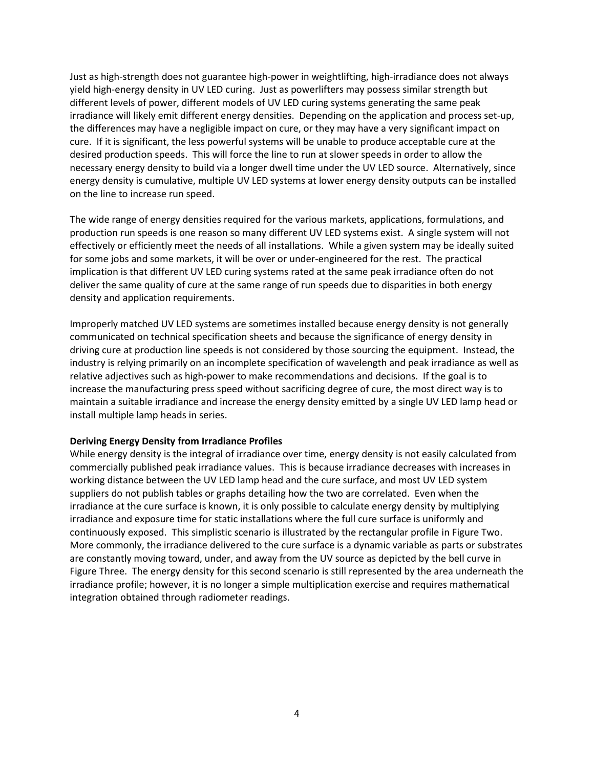Just as high-strength does not guarantee high-power in weightlifting, high-irradiance does not always yield high-energy density in UV LED curing. Just as powerlifters may possess similar strength but different levels of power, different models of UV LED curing systems generating the same peak irradiance will likely emit different energy densities. Depending on the application and process set-up, the differences may have a negligible impact on cure, or they may have a very significant impact on cure. If it is significant, the less powerful systems will be unable to produce acceptable cure at the desired production speeds. This will force the line to run at slower speeds in order to allow the necessary energy density to build via a longer dwell time under the UV LED source. Alternatively, since energy density is cumulative, multiple UV LED systems at lower energy density outputs can be installed on the line to increase run speed.

The wide range of energy densities required for the various markets, applications, formulations, and production run speeds is one reason so many different UV LED systems exist. A single system will not effectively or efficiently meet the needs of all installations. While a given system may be ideally suited for some jobs and some markets, it will be over or under-engineered for the rest. The practical implication is that different UV LED curing systems rated at the same peak irradiance often do not deliver the same quality of cure at the same range of run speeds due to disparities in both energy density and application requirements.

Improperly matched UV LED systems are sometimes installed because energy density is not generally communicated on technical specification sheets and because the significance of energy density in driving cure at production line speeds is not considered by those sourcing the equipment. Instead, the industry is relying primarily on an incomplete specification of wavelength and peak irradiance as well as relative adjectives such as high-power to make recommendations and decisions. If the goal is to increase the manufacturing press speed without sacrificing degree of cure, the most direct way is to maintain a suitable irradiance and increase the energy density emitted by a single UV LED lamp head or install multiple lamp heads in series.

#### **Deriving Energy Density from Irradiance Profiles**

While energy density is the integral of irradiance over time, energy density is not easily calculated from commercially published peak irradiance values. This is because irradiance decreases with increases in working distance between the UV LED lamp head and the cure surface, and most UV LED system suppliers do not publish tables or graphs detailing how the two are correlated. Even when the irradiance at the cure surface is known, it is only possible to calculate energy density by multiplying irradiance and exposure time for static installations where the full cure surface is uniformly and continuously exposed. This simplistic scenario is illustrated by the rectangular profile in Figure Two. More commonly, the irradiance delivered to the cure surface is a dynamic variable as parts or substrates are constantly moving toward, under, and away from the UV source as depicted by the bell curve in Figure Three. The energy density for this second scenario is still represented by the area underneath the irradiance profile; however, it is no longer a simple multiplication exercise and requires mathematical integration obtained through radiometer readings.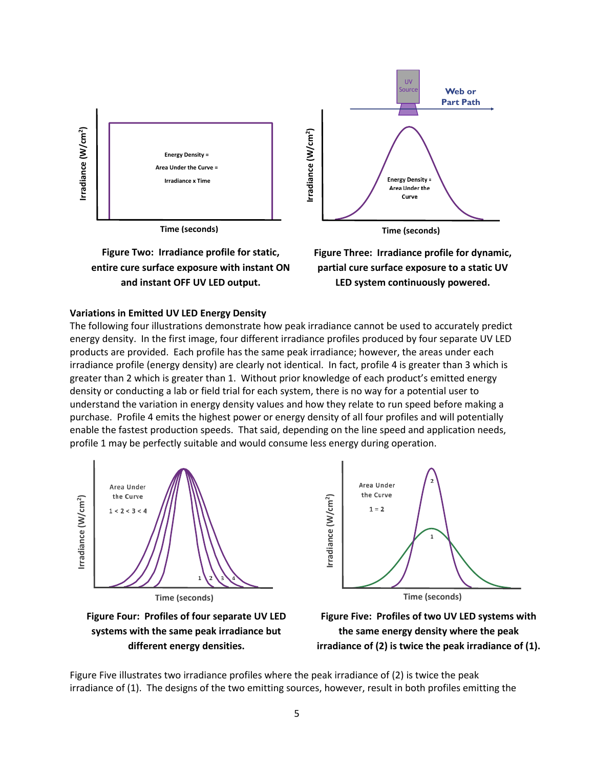

**Time (seconds)**





**Time (seconds)**

**Figure Three: Irradiance profile for dynamic, partial cure surface exposure to a static UV LED system continuously powered.**

#### **Variations in Emitted UV LED Energy Density**

The following four illustrations demonstrate how peak irradiance cannot be used to accurately predict energy density. In the first image, four different irradiance profiles produced by four separate UV LED products are provided. Each profile has the same peak irradiance; however, the areas under each irradiance profile (energy density) are clearly not identical. In fact, profile 4 is greater than 3 which is greater than 2 which is greater than 1. Without prior knowledge of each product's emitted energy density or conducting a lab or field trial for each system, there is no way for a potential user to understand the variation in energy density values and how they relate to run speed before making a purchase. Profile 4 emits the highest power or energy density of all four profiles and will potentially enable the fastest production speeds. That said, depending on the line speed and application needs, profile 1 may be perfectly suitable and would consume less energy during operation.



Area Under the Curve Irradiance (W/cm<sup>2</sup>) **Irradiance (W/cm2**  $1 = 2$  $\mathbf{1}$ **Time (seconds)**

**Figure Four: Profiles of four separate UV LED systems with the same peak irradiance but different energy densities.**

**Figure Five: Profiles of two UV LED systems with the same energy density where the peak irradiance of (2) is twice the peak irradiance of (1).**

Figure Five illustrates two irradiance profiles where the peak irradiance of (2) is twice the peak irradiance of (1). The designs of the two emitting sources, however, result in both profiles emitting the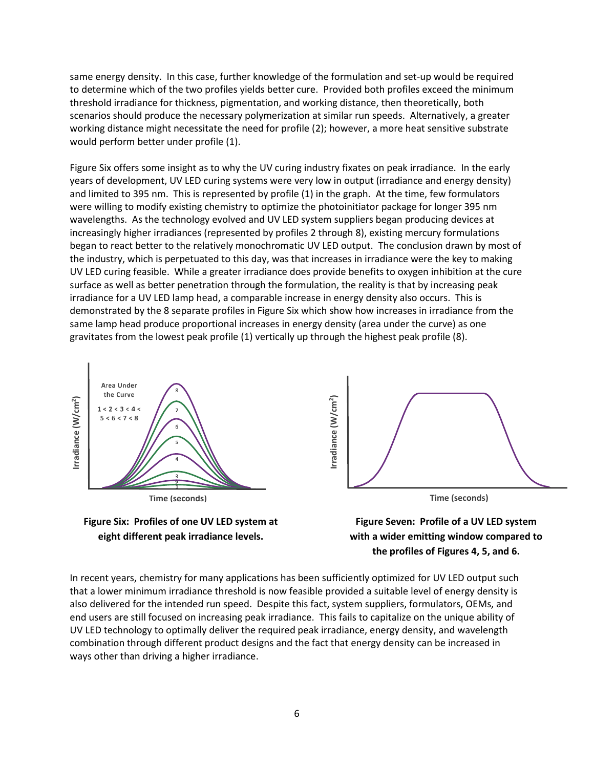same energy density. In this case, further knowledge of the formulation and set-up would be required to determine which of the two profiles yields better cure. Provided both profiles exceed the minimum threshold irradiance for thickness, pigmentation, and working distance, then theoretically, both scenarios should produce the necessary polymerization at similar run speeds. Alternatively, a greater working distance might necessitate the need for profile (2); however, a more heat sensitive substrate would perform better under profile (1).

Figure Six offers some insight as to why the UV curing industry fixates on peak irradiance. In the early years of development, UV LED curing systems were very low in output (irradiance and energy density) and limited to 395 nm. This is represented by profile (1) in the graph. At the time, few formulators were willing to modify existing chemistry to optimize the photoinitiator package for longer 395 nm wavelengths. As the technology evolved and UV LED system suppliers began producing devices at increasingly higher irradiances (represented by profiles 2 through 8), existing mercury formulations began to react better to the relatively monochromatic UV LED output. The conclusion drawn by most of the industry, which is perpetuated to this day, was that increases in irradiance were the key to making UV LED curing feasible. While a greater irradiance does provide benefits to oxygen inhibition at the cure surface as well as better penetration through the formulation, the reality is that by increasing peak irradiance for a UV LED lamp head, a comparable increase in energy density also occurs. This is demonstrated by the 8 separate profiles in Figure Six which show how increases in irradiance from the same lamp head produce proportional increases in energy density (area under the curve) as one gravitates from the lowest peak profile (1) vertically up through the highest peak profile (8).







**Figure Seven: Profile of a UV LED system with a wider emitting window compared to the profiles of Figures 4, 5, and 6.**

In recent years, chemistry for many applications has been sufficiently optimized for UV LED output such that a lower minimum irradiance threshold is now feasible provided a suitable level of energy density is also delivered for the intended run speed. Despite this fact, system suppliers, formulators, OEMs, and end users are still focused on increasing peak irradiance. This fails to capitalize on the unique ability of UV LED technology to optimally deliver the required peak irradiance, energy density, and wavelength combination through different product designs and the fact that energy density can be increased in ways other than driving a higher irradiance.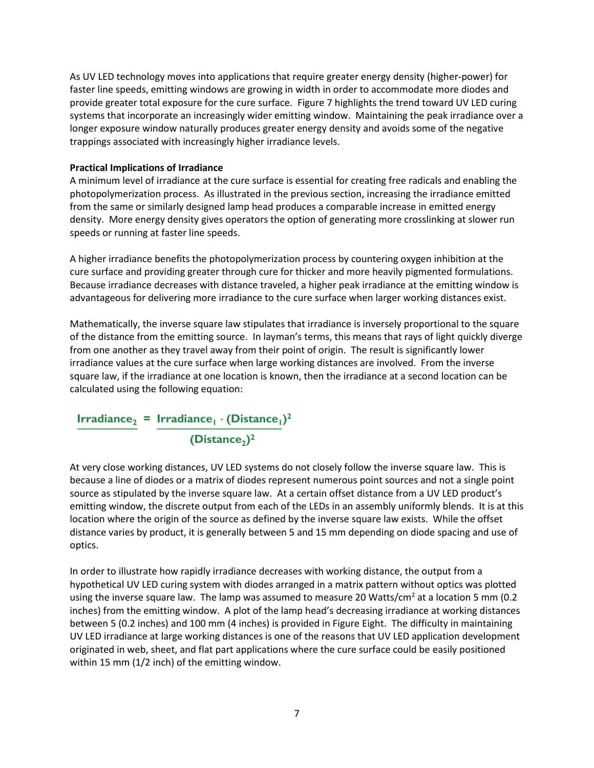As UV LED technology moves into applications that require greater energy density (higher-power) for faster line speeds, emitting windows are growing in width in order to accommodate more diodes and provide greater total exposure for the cure surface. Figure 7 highlights the trend toward UV LED curing systems that incorporate an increasingly wider emitting window. Maintaining the peak irradiance over a longer exposure window naturally produces greater energy density and avoids some of the negative trappings associated with increasingly higher irradiance levels.

### **Practical Implications of Irradiance**

A minimum level of irradiance at the cure surface is essential for creating free radicals and enabling the photopolymerization process. As illustrated in the previous section, increasing the irradiance emitted from the same or similarly designed lamp head produces a comparable increase in emitted energy density. More energy density gives operators the option of generating more crosslinking at slower run speeds or running at faster line speeds.

A higher irradiance benefits the photopolymerization process by countering oxygen inhibition at the cure surface and providing greater through cure for thicker and more heavily pigmented formulations. Because irradiance decreases with distance traveled, a higher peak irradiance at the emitting window is advantageous for delivering more irradiance to the cure surface when larger working distances exist.

Mathematically, the inverse square law stipulates that irradiance is inversely proportional to the square of the distance from the emitting source. In layman's terms, this means that rays of light quickly diverge from one another as they travel away from their point of origin. The result is significantly lower irradiance values at the cure surface when large working distances are involved. From the inverse square law, if the irradiance at one location is known, then the irradiance at a second location can be calculated using the following equation:

# $Irr$ **adiance**<sub>2</sub> = Irradiance<sub>1</sub></sub>  $\cdot$  (Distance<sub>1</sub>)<sup>2</sup> **(Distance2) 2**

At very close working distances, UV LED systems do not closely follow the inverse square law. This is because a line of diodes or a matrix of diodes represent numerous point sources and not a single point source as stipulated by the inverse square law. At a certain offset distance from a UV LED product's emitting window, the discrete output from each of the LEDs in an assembly uniformly blends. It is at this location where the origin of the source as defined by the inverse square law exists. While the offset distance varies by product, it is generally between 5 and 15 mm depending on diode spacing and use of optics.

In order to illustrate how rapidly irradiance decreases with working distance, the output from a hypothetical UV LED curing system with diodes arranged in a matrix pattern without optics was plotted using the inverse square law. The lamp was assumed to measure 20 Watts/cm<sup>2</sup> at a location 5 mm (0.2) inches) from the emitting window. A plot of the lamp head's decreasing irradiance at working distances between 5 (0.2 inches) and 100 mm (4 inches) is provided in Figure Eight. The difficulty in maintaining UV LED irradiance at large working distances is one of the reasons that UV LED application development originated in web, sheet, and flat part applications where the cure surface could be easily positioned within 15 mm (1/2 inch) of the emitting window.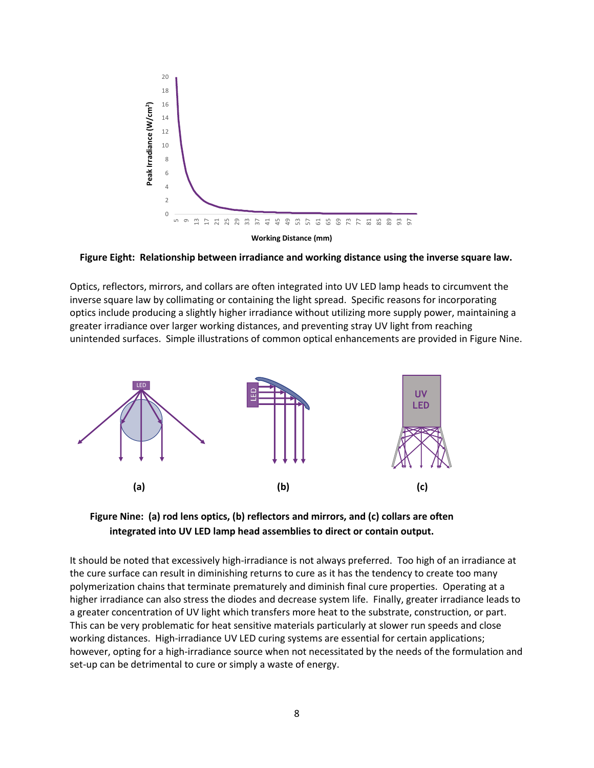



Optics, reflectors, mirrors, and collars are often integrated into UV LED lamp heads to circumvent the inverse square law by collimating or containing the light spread. Specific reasons for incorporating optics include producing a slightly higher irradiance without utilizing more supply power, maintaining a greater irradiance over larger working distances, and preventing stray UV light from reaching unintended surfaces. Simple illustrations of common optical enhancements are provided in Figure Nine.





It should be noted that excessively high-irradiance is not always preferred. Too high of an irradiance at the cure surface can result in diminishing returns to cure as it has the tendency to create too many polymerization chains that terminate prematurely and diminish final cure properties. Operating at a higher irradiance can also stress the diodes and decrease system life. Finally, greater irradiance leads to a greater concentration of UV light which transfers more heat to the substrate, construction, or part. This can be very problematic for heat sensitive materials particularly at slower run speeds and close working distances. High-irradiance UV LED curing systems are essential for certain applications; however, opting for a high-irradiance source when not necessitated by the needs of the formulation and set-up can be detrimental to cure or simply a waste of energy.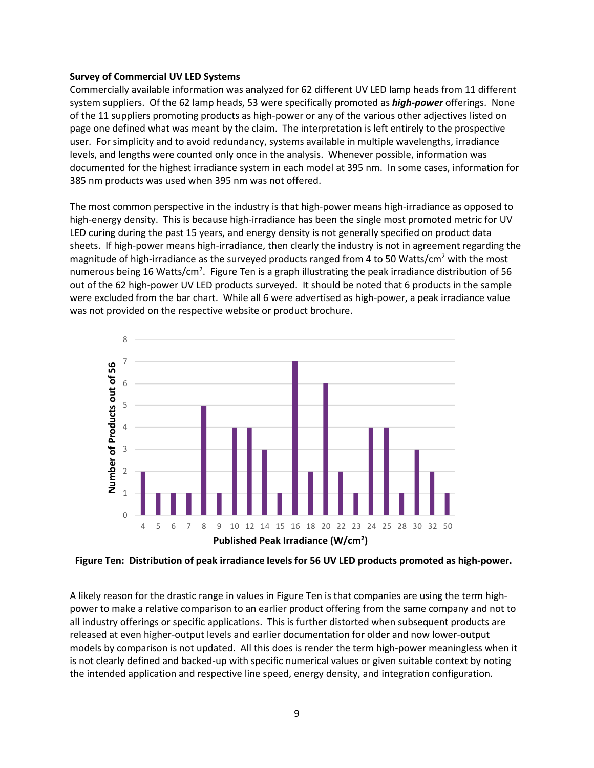#### **Survey of Commercial UV LED Systems**

Commercially available information was analyzed for 62 different UV LED lamp heads from 11 different system suppliers. Of the 62 lamp heads, 53 were specifically promoted as *high-power* offerings. None of the 11 suppliers promoting products as high-power or any of the various other adjectives listed on page one defined what was meant by the claim. The interpretation is left entirely to the prospective user. For simplicity and to avoid redundancy, systems available in multiple wavelengths, irradiance levels, and lengths were counted only once in the analysis. Whenever possible, information was documented for the highest irradiance system in each model at 395 nm. In some cases, information for 385 nm products was used when 395 nm was not offered.

The most common perspective in the industry is that high-power means high-irradiance as opposed to high-energy density. This is because high-irradiance has been the single most promoted metric for UV LED curing during the past 15 years, and energy density is not generally specified on product data sheets. If high-power means high-irradiance, then clearly the industry is not in agreement regarding the magnitude of high-irradiance as the surveyed products ranged from 4 to 50 Watts/cm<sup>2</sup> with the most numerous being 16 Watts/cm<sup>2</sup>. Figure Ten is a graph illustrating the peak irradiance distribution of 56 out of the 62 high-power UV LED products surveyed. It should be noted that 6 products in the sample were excluded from the bar chart. While all 6 were advertised as high-power, a peak irradiance value was not provided on the respective website or product brochure.



**Figure Ten: Distribution of peak irradiance levels for 56 UV LED products promoted as high-power.** 

A likely reason for the drastic range in values in Figure Ten is that companies are using the term highpower to make a relative comparison to an earlier product offering from the same company and not to all industry offerings or specific applications. This is further distorted when subsequent products are released at even higher-output levels and earlier documentation for older and now lower-output models by comparison is not updated. All this does is render the term high-power meaningless when it is not clearly defined and backed-up with specific numerical values or given suitable context by noting the intended application and respective line speed, energy density, and integration configuration.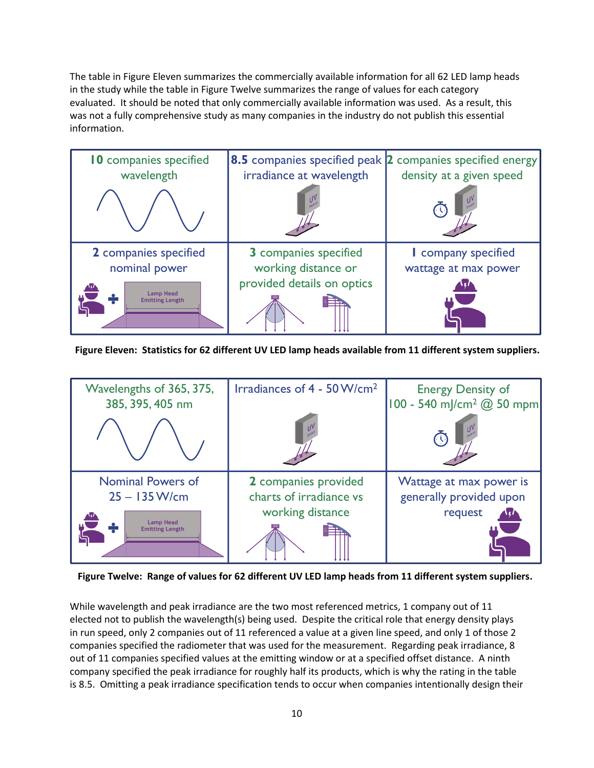The table in Figure Eleven summarizes the commercially available information for all 62 LED lamp heads in the study while the table in Figure Twelve summarizes the range of values for each category evaluated. It should be noted that only commercially available information was used. As a result, this was not a fully comprehensive study as many companies in the industry do not publish this essential information.



**Figure Eleven: Statistics for 62 different UV LED lamp heads available from 11 different system suppliers.**



**Figure Twelve: Range of values for 62 different UV LED lamp heads from 11 different system suppliers.**

While wavelength and peak irradiance are the two most referenced metrics, 1 company out of 11 elected not to publish the wavelength(s) being used. Despite the critical role that energy density plays in run speed, only 2 companies out of 11 referenced a value at a given line speed, and only 1 of those 2 companies specified the radiometer that was used for the measurement. Regarding peak irradiance, 8 out of 11 companies specified values at the emitting window or at a specified offset distance. A ninth company specified the peak irradiance for roughly half its products, which is why the rating in the table is 8.5. Omitting a peak irradiance specification tends to occur when companies intentionally design their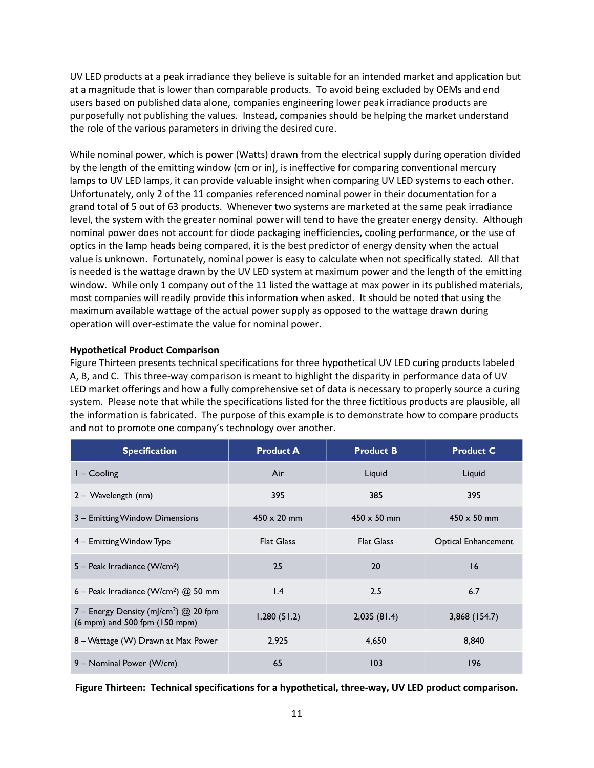UV LED products at a peak irradiance they believe is suitable for an intended market and application but at a magnitude that is lower than comparable products. To avoid being excluded by OEMs and end users based on published data alone, companies engineering lower peak irradiance products are purposefully not publishing the values. Instead, companies should be helping the market understand the role of the various parameters in driving the desired cure.

While nominal power, which is power (Watts) drawn from the electrical supply during operation divided by the length of the emitting window (cm or in), is ineffective for comparing conventional mercury lamps to UV LED lamps, it can provide valuable insight when comparing UV LED systems to each other. Unfortunately, only 2 of the 11 companies referenced nominal power in their documentation for a grand total of 5 out of 63 products. Whenever two systems are marketed at the same peak irradiance level, the system with the greater nominal power will tend to have the greater energy density. Although nominal power does not account for diode packaging inefficiencies, cooling performance, or the use of optics in the lamp heads being compared, it is the best predictor of energy density when the actual value is unknown. Fortunately, nominal power is easy to calculate when not specifically stated. All that is needed is the wattage drawn by the UV LED system at maximum power and the length of the emitting window. While only 1 company out of the 11 listed the wattage at max power in its published materials, most companies will readily provide this information when asked. It should be noted that using the maximum available wattage of the actual power supply as opposed to the wattage drawn during operation will over-estimate the value for nominal power.

#### **Hypothetical Product Comparison**

Figure Thirteen presents technical specifications for three hypothetical UV LED curing products labeled A, B, and C. This three-way comparison is meant to highlight the disparity in performance data of UV LED market offerings and how a fully comprehensive set of data is necessary to properly source a curing system. Please note that while the specifications listed for the three fictitious products are plausible, all the information is fabricated. The purpose of this example is to demonstrate how to compare products and not to promote one company's technology over another.

| <b>Specification</b>                                                                 | <b>Product A</b>   | <b>Product B</b>   | <b>Product C</b>    |
|--------------------------------------------------------------------------------------|--------------------|--------------------|---------------------|
| $I -$ Cooling                                                                        | Air                | Liquid             | Liquid              |
| 2 - Wavelength (nm)                                                                  | 395                | 385                | 395                 |
| 3 - Emitting Window Dimensions                                                       | $450 \times 20$ mm | $450 \times 50$ mm | $450 \times 50$ mm  |
| 4 – Emitting Window Type                                                             | <b>Flat Glass</b>  | <b>Flat Glass</b>  | Optical Enhancement |
| 5 – Peak Irradiance (W/cm <sup>2</sup> )                                             | 25                 | 20                 | 16                  |
| 6 – Peak Irradiance (W/cm <sup>2</sup> ) $@$ 50 mm                                   | $\mathsf{I}$ .4    | 2.5                | 6.7                 |
| 7 – Energy Density (mJ/cm <sup>2</sup> ) $@$ 20 fpm<br>(6 mpm) and 500 fpm (150 mpm) | 1,280(51.2)        | 2,035(81.4)        | $3,868$ (154.7)     |
| 8 - Wattage (W) Drawn at Max Power                                                   | 2,925              | 4,650              | 8,840               |
| 9 – Nominal Power (W/cm)                                                             | 65                 | 103                | 196                 |

**Figure Thirteen: Technical specifications for a hypothetical, three-way, UV LED product comparison.**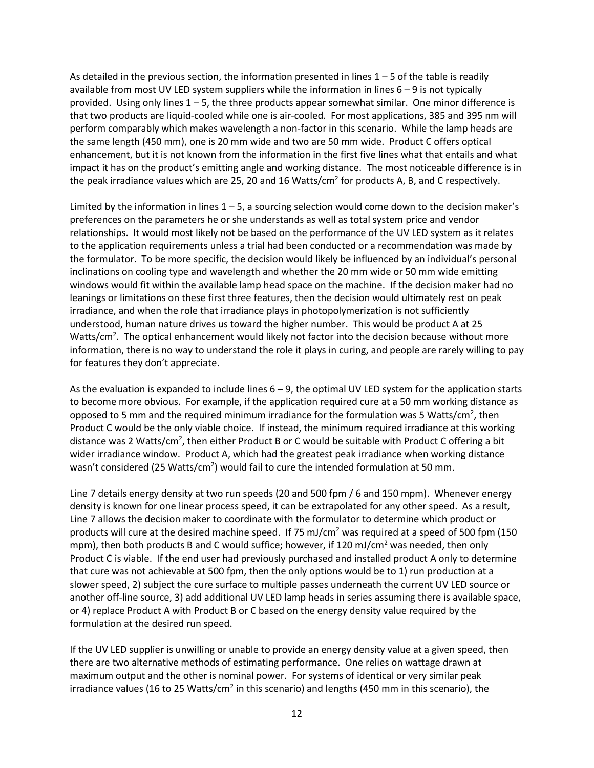As detailed in the previous section, the information presented in lines  $1 - 5$  of the table is readily available from most UV LED system suppliers while the information in lines  $6 - 9$  is not typically provided. Using only lines 1 – 5, the three products appear somewhat similar. One minor difference is that two products are liquid-cooled while one is air-cooled. For most applications, 385 and 395 nm will perform comparably which makes wavelength a non-factor in this scenario. While the lamp heads are the same length (450 mm), one is 20 mm wide and two are 50 mm wide. Product C offers optical enhancement, but it is not known from the information in the first five lines what that entails and what impact it has on the product's emitting angle and working distance. The most noticeable difference is in the peak irradiance values which are 25, 20 and 16 Watts/cm<sup>2</sup> for products A, B, and C respectively.

Limited by the information in lines  $1 - 5$ , a sourcing selection would come down to the decision maker's preferences on the parameters he or she understands as well as total system price and vendor relationships. It would most likely not be based on the performance of the UV LED system as it relates to the application requirements unless a trial had been conducted or a recommendation was made by the formulator. To be more specific, the decision would likely be influenced by an individual's personal inclinations on cooling type and wavelength and whether the 20 mm wide or 50 mm wide emitting windows would fit within the available lamp head space on the machine. If the decision maker had no leanings or limitations on these first three features, then the decision would ultimately rest on peak irradiance, and when the role that irradiance plays in photopolymerization is not sufficiently understood, human nature drives us toward the higher number. This would be product A at 25 Watts/cm<sup>2</sup>. The optical enhancement would likely not factor into the decision because without more information, there is no way to understand the role it plays in curing, and people are rarely willing to pay for features they don't appreciate.

As the evaluation is expanded to include lines 6 – 9, the optimal UV LED system for the application starts to become more obvious. For example, if the application required cure at a 50 mm working distance as opposed to 5 mm and the required minimum irradiance for the formulation was 5 Watts/cm<sup>2</sup>, then Product C would be the only viable choice. If instead, the minimum required irradiance at this working distance was 2 Watts/cm<sup>2</sup>, then either Product B or C would be suitable with Product C offering a bit wider irradiance window. Product A, which had the greatest peak irradiance when working distance wasn't considered (25 Watts/cm<sup>2</sup>) would fail to cure the intended formulation at 50 mm.

Line 7 details energy density at two run speeds (20 and 500 fpm / 6 and 150 mpm). Whenever energy density is known for one linear process speed, it can be extrapolated for any other speed. As a result, Line 7 allows the decision maker to coordinate with the formulator to determine which product or products will cure at the desired machine speed. If 75 mJ/cm<sup>2</sup> was required at a speed of 500 fpm (150 mpm), then both products B and C would suffice; however, if 120 mJ/cm<sup>2</sup> was needed, then only Product C is viable. If the end user had previously purchased and installed product A only to determine that cure was not achievable at 500 fpm, then the only options would be to 1) run production at a slower speed, 2) subject the cure surface to multiple passes underneath the current UV LED source or another off-line source, 3) add additional UV LED lamp heads in series assuming there is available space, or 4) replace Product A with Product B or C based on the energy density value required by the formulation at the desired run speed.

If the UV LED supplier is unwilling or unable to provide an energy density value at a given speed, then there are two alternative methods of estimating performance. One relies on wattage drawn at maximum output and the other is nominal power. For systems of identical or very similar peak irradiance values (16 to 25 Watts/cm<sup>2</sup> in this scenario) and lengths (450 mm in this scenario), the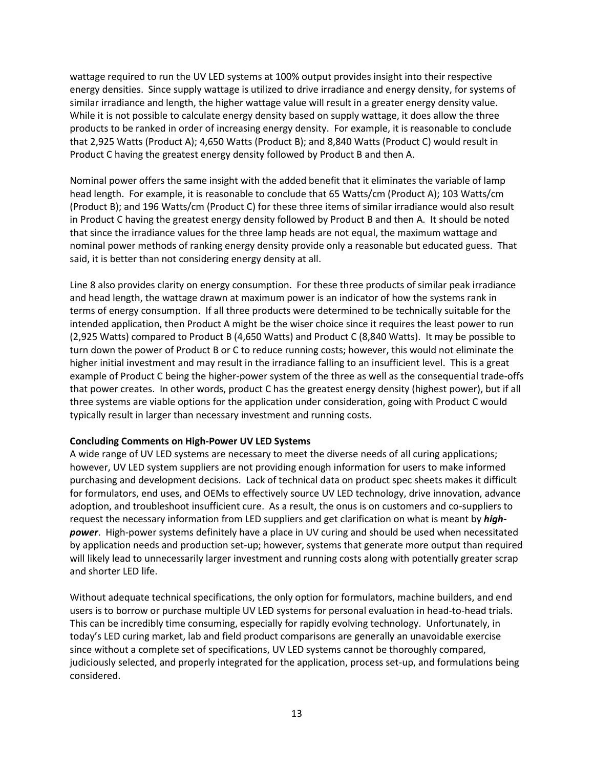wattage required to run the UV LED systems at 100% output provides insight into their respective energy densities. Since supply wattage is utilized to drive irradiance and energy density, for systems of similar irradiance and length, the higher wattage value will result in a greater energy density value. While it is not possible to calculate energy density based on supply wattage, it does allow the three products to be ranked in order of increasing energy density. For example, it is reasonable to conclude that 2,925 Watts (Product A); 4,650 Watts (Product B); and 8,840 Watts (Product C) would result in Product C having the greatest energy density followed by Product B and then A.

Nominal power offers the same insight with the added benefit that it eliminates the variable of lamp head length. For example, it is reasonable to conclude that 65 Watts/cm (Product A); 103 Watts/cm (Product B); and 196 Watts/cm (Product C) for these three items of similar irradiance would also result in Product C having the greatest energy density followed by Product B and then A. It should be noted that since the irradiance values for the three lamp heads are not equal, the maximum wattage and nominal power methods of ranking energy density provide only a reasonable but educated guess. That said, it is better than not considering energy density at all.

Line 8 also provides clarity on energy consumption. For these three products of similar peak irradiance and head length, the wattage drawn at maximum power is an indicator of how the systems rank in terms of energy consumption. If all three products were determined to be technically suitable for the intended application, then Product A might be the wiser choice since it requires the least power to run (2,925 Watts) compared to Product B (4,650 Watts) and Product C (8,840 Watts). It may be possible to turn down the power of Product B or C to reduce running costs; however, this would not eliminate the higher initial investment and may result in the irradiance falling to an insufficient level. This is a great example of Product C being the higher-power system of the three as well as the consequential trade-offs that power creates. In other words, product C has the greatest energy density (highest power), but if all three systems are viable options for the application under consideration, going with Product C would typically result in larger than necessary investment and running costs.

#### **Concluding Comments on High-Power UV LED Systems**

A wide range of UV LED systems are necessary to meet the diverse needs of all curing applications; however, UV LED system suppliers are not providing enough information for users to make informed purchasing and development decisions. Lack of technical data on product spec sheets makes it difficult for formulators, end uses, and OEMs to effectively source UV LED technology, drive innovation, advance adoption, and troubleshoot insufficient cure. As a result, the onus is on customers and co-suppliers to request the necessary information from LED suppliers and get clarification on what is meant by *highpower*. High-power systems definitely have a place in UV curing and should be used when necessitated by application needs and production set-up; however, systems that generate more output than required will likely lead to unnecessarily larger investment and running costs along with potentially greater scrap and shorter LED life.

Without adequate technical specifications, the only option for formulators, machine builders, and end users is to borrow or purchase multiple UV LED systems for personal evaluation in head-to-head trials. This can be incredibly time consuming, especially for rapidly evolving technology. Unfortunately, in today's LED curing market, lab and field product comparisons are generally an unavoidable exercise since without a complete set of specifications, UV LED systems cannot be thoroughly compared, judiciously selected, and properly integrated for the application, process set-up, and formulations being considered.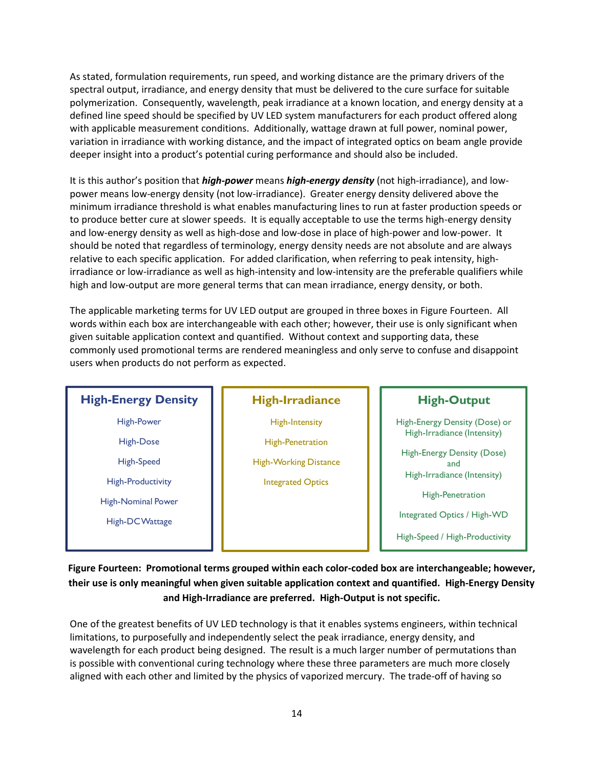As stated, formulation requirements, run speed, and working distance are the primary drivers of the spectral output, irradiance, and energy density that must be delivered to the cure surface for suitable polymerization. Consequently, wavelength, peak irradiance at a known location, and energy density at a defined line speed should be specified by UV LED system manufacturers for each product offered along with applicable measurement conditions. Additionally, wattage drawn at full power, nominal power, variation in irradiance with working distance, and the impact of integrated optics on beam angle provide deeper insight into a product's potential curing performance and should also be included.

It is this author's position that *high-power* means *high-energy density* (not high-irradiance), and lowpower means low-energy density (not low-irradiance). Greater energy density delivered above the minimum irradiance threshold is what enables manufacturing lines to run at faster production speeds or to produce better cure at slower speeds. It is equally acceptable to use the terms high-energy density and low-energy density as well as high-dose and low-dose in place of high-power and low-power. It should be noted that regardless of terminology, energy density needs are not absolute and are always relative to each specific application. For added clarification, when referring to peak intensity, highirradiance or low-irradiance as well as high-intensity and low-intensity are the preferable qualifiers while high and low-output are more general terms that can mean irradiance, energy density, or both.

The applicable marketing terms for UV LED output are grouped in three boxes in Figure Fourteen. All words within each box are interchangeable with each other; however, their use is only significant when given suitable application context and quantified. Without context and supporting data, these commonly used promotional terms are rendered meaningless and only serve to confuse and disappoint users when products do not perform as expected.

## **High-Energy Density**

High-Power

High-Dose High-Speed

High-Productivity

High-Nominal Power

High-DC Wattage

## **High-Irradiance**

High-Intensity

High-Penetration

High-Working Distance

Integrated Optics

## **High-Output**

High-Energy Density (Dose) or High-Irradiance (Intensity)

High-Energy Density (Dose) and High-Irradiance (Intensity)

High-Penetration

Integrated Optics / High-WD

High-Speed / High-Productivity

**Figure Fourteen: Promotional terms grouped within each color-coded box are interchangeable; however, their use is only meaningful when given suitable application context and quantified. High-Energy Density and High-Irradiance are preferred. High-Output is not specific.**

One of the greatest benefits of UV LED technology is that it enables systems engineers, within technical limitations, to purposefully and independently select the peak irradiance, energy density, and wavelength for each product being designed. The result is a much larger number of permutations than is possible with conventional curing technology where these three parameters are much more closely aligned with each other and limited by the physics of vaporized mercury. The trade-off of having so